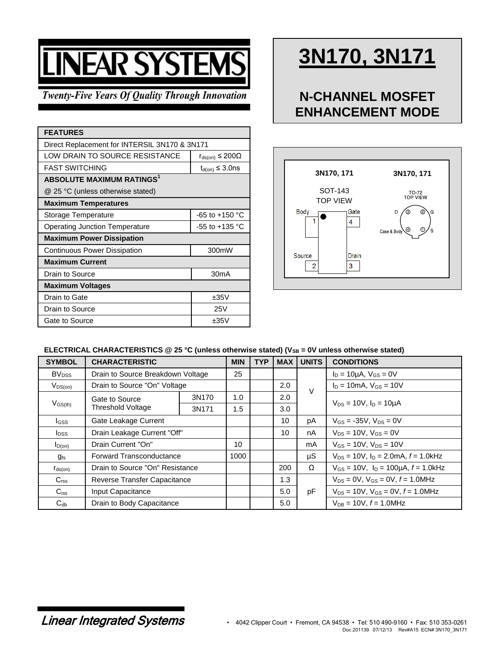# **LINEAR SYSTEMS**

#### **Twenty-Five Years Of Quality Through Innovation**

| <b>FEATURES</b>                                  |                                    |  |  |  |  |
|--------------------------------------------------|------------------------------------|--|--|--|--|
| Direct Replacement for INTERSIL 3N170 & 3N171    |                                    |  |  |  |  |
| LOW DRAIN TO SOURCE RESISTANCE                   | $r_{\text{ds}(on)} \leq 200\Omega$ |  |  |  |  |
| <b>FAST SWITCHING</b><br>$t_{d(on)} \leq 3.0$ ns |                                    |  |  |  |  |
| <b>ABSOLUTE MAXIMUM RATINGS1</b>                 |                                    |  |  |  |  |
| @ 25 °C (unless otherwise stated)                |                                    |  |  |  |  |
| <b>Maximum Temperatures</b>                      |                                    |  |  |  |  |
| Storage Temperature                              | $-65$ to $+150$ °C                 |  |  |  |  |
| <b>Operating Junction Temperature</b>            | $-55$ to $+135$ °C                 |  |  |  |  |
| <b>Maximum Power Dissipation</b>                 |                                    |  |  |  |  |
| Continuous Power Dissipation                     | 300mW                              |  |  |  |  |
| <b>Maximum Current</b>                           |                                    |  |  |  |  |
| Drain to Source                                  | 30 <sub>m</sub> A                  |  |  |  |  |
| <b>Maximum Voltages</b>                          |                                    |  |  |  |  |
| Drain to Gate                                    | ±35V                               |  |  |  |  |
| Drain to Source                                  | 25V                                |  |  |  |  |
| Gate to Source                                   | ±35V                               |  |  |  |  |

## **3N170, 3N171**

### **N-CHANNEL MOSFET ENHANCEMENT MODE**



#### ELECTRICAL CHARACTERISTICS @ 25 °C (unless otherwise stated) (V<sub>SB</sub> = 0V unless otherwise stated)

| <b>SYMBOL</b>            | <b>CHARACTERISTIC</b>                      |       | <b>MIN</b> | <b>TYP</b> | <b>MAX</b> | <b>UNITS</b> | <b>CONDITIONS</b>                             |
|--------------------------|--------------------------------------------|-------|------------|------------|------------|--------------|-----------------------------------------------|
| <b>BV</b> <sub>DSS</sub> | Drain to Source Breakdown Voltage          |       | 25         |            |            |              | $I_D = 10 \mu A$ , $V_{GS} = 0V$              |
| $V_{DS(on)}$             | Drain to Source "On" Voltage               |       |            |            | 2.0        |              | $I_D = 10mA$ , $V_{GS} = 10V$                 |
| $V_{GS(th)}$             | Gate to Source<br><b>Threshold Voltage</b> | 3N170 | 1.0        |            | 2.0        | V            | $V_{DS} = 10V$ , $I_D = 10\mu A$              |
|                          |                                            | 3N171 | 1.5        |            | 3.0        |              |                                               |
| $_{\text{GSS}}$          | Gate Leakage Current                       |       |            |            | 10         | рA           | $V_{GS} = -35V$ , $V_{DS} = 0V$               |
| <b>I</b> <sub>DSS</sub>  | Drain Leakage Current "Off"                |       |            |            | 10         | nA           | $V_{DS} = 10V$ , $V_{GS} = 0V$                |
| $I_{D(0n)}$              | Drain Current "On"                         |       | 10         |            |            | mA           | $V_{GS} = 10V$ , $V_{DS} = 10V$               |
| $g_{\rm fs}$             | <b>Forward Transconductance</b>            |       | 1000       |            |            | μS           | $V_{DS}$ = 10V, $I_D$ = 2.0mA, $f$ = 1.0kHz   |
| $r_{ds(on)}$             | Drain to Source "On" Resistance            |       |            |            | 200        | Ω            | $V_{GS}$ = 10V, $I_D$ = 100µA, $f$ = 1.0kHz   |
| C <sub>rss</sub>         | Reverse Transfer Capacitance               |       |            |            | 1.3        |              | $V_{DS} = 0V$ , $V_{GS} = 0V$ , $f = 1.0$ MHz |
| $C_{iss}$                | Input Capacitance                          |       |            |            | 5.0        | pF           | $V_{DS}$ = 10V, $V_{GS}$ = 0V, $f$ = 1.0MHz   |
| $C_{db}$                 | Drain to Body Capacitance                  |       |            |            | 5.0        |              | $V_{DB} = 10V$ , $f = 1.0 MHz$                |